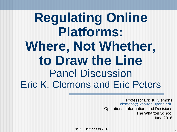#### **Regulating Online Platforms: Where, Not Whether, to Draw the Line** Panel Discussion Eric K. Clemons and Eric Peters

Professor Eric K. Clemons clemons@wharton.upenn.edu Operations, Information, and Decisions The Wharton School June 2016

Eric K. Clemons © 2016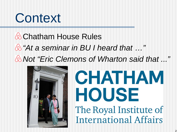#### **& Chatham House Rules** *"At a seminar in BU I heard that …" Not "Eric Clemons of Wharton said that ..."*



# CHATHAM HOUSE The Royal Institute of **International Affairs**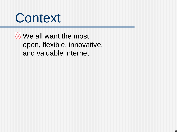

**& We all want the most** open, flexible, innovative, and valuable internet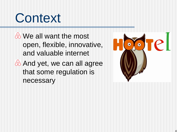We all want the most open, flexible, innovative, and valuable internet **& And yet, we can all agree** 

that some regulation is necessary

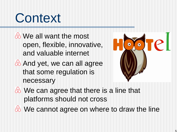- We all want the most open, flexible, innovative, and valuable internet
- **& And yet, we can all agree** that some regulation is necessary



- We can agree that there is a line that platforms should not cross
- $\&$  We cannot agree on where to draw the line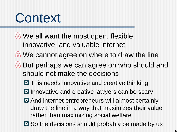- We all want the most open, flexible, innovative, and valuable internet
- We cannot agree on where to draw the line
- **& But perhaps we can agree on who should and** should not make the decisions
	- **O** This needs innovative and creative thinking
	- **D** Innovative and creative lawyers can be scary
	- **And internet entrepreneurs will almost certainly** draw the line in a way that maximizes their value rather than maximizing social welfare
	- **O** So the decisions should probably be made by us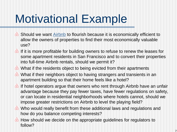### Motivational Example

- **Should we want [Airbnb](https://www.airbnb.com/) to flourish because it is economically efficient to** allow the owners of properties to find their most economically valuable use?
- $\&$  If it is more profitable for building owners to refuse to renew the leases for some apartment residents in San Francisco and to convert their properties into full-time Airbnb rentals, should we permit it?
- What if the residents object to being evicted from their apartments
- What if their neighbors object to having strangers and transients in an apartment building so that their home feels like a hotel?
- $\circledA$  If hotel operators argue that owners who rent through Airbnb have an unfair advantage because they pay fewer taxes, have fewer regulations on safety, or can locate in residential neighborhoods where hotels cannot, should we impose greater restrictions on Airbnb to level the playing field?
- Who would really benefit from these additional laws and regulations and how do you balance competing interests?
- **A** How should we decide on the appropriate guidelines for regulators to follow?